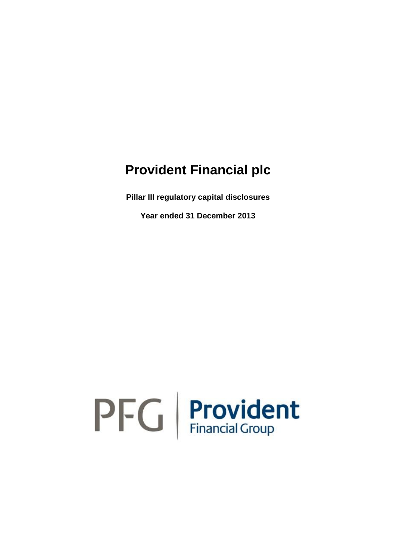**Pillar III regulatory capital disclosures**

**Year ended 31 December 2013**

# $\mathsf{P}\mathsf{F}\mathsf{G}$  Provident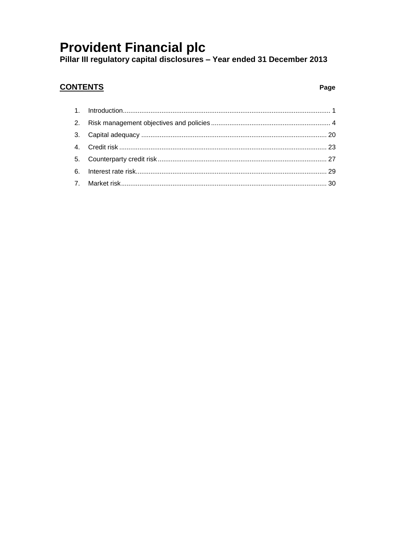### **CONTENTS**

### Page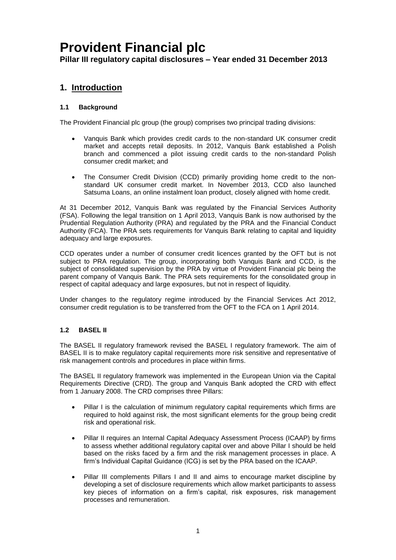**Pillar III regulatory capital disclosures – Year ended 31 December 2013**

### <span id="page-2-0"></span>**1. Introduction**

### **1.1 Background**

The Provident Financial plc group (the group) comprises two principal trading divisions:

- Vanquis Bank which provides credit cards to the non-standard UK consumer credit market and accepts retail deposits. In 2012, Vanquis Bank established a Polish branch and commenced a pilot issuing credit cards to the non-standard Polish consumer credit market; and
- The Consumer Credit Division (CCD) primarily providing home credit to the nonstandard UK consumer credit market. In November 2013, CCD also launched Satsuma Loans, an online instalment loan product, closely aligned with home credit.

At 31 December 2012, Vanquis Bank was regulated by the Financial Services Authority (FSA). Following the legal transition on 1 April 2013, Vanquis Bank is now authorised by the Prudential Regulation Authority (PRA) and regulated by the PRA and the Financial Conduct Authority (FCA). The PRA sets requirements for Vanquis Bank relating to capital and liquidity adequacy and large exposures.

CCD operates under a number of consumer credit licences granted by the OFT but is not subject to PRA regulation. The group, incorporating both Vanquis Bank and CCD, is the subject of consolidated supervision by the PRA by virtue of Provident Financial plc being the parent company of Vanquis Bank. The PRA sets requirements for the consolidated group in respect of capital adequacy and large exposures, but not in respect of liquidity.

Under changes to the regulatory regime introduced by the Financial Services Act 2012, consumer credit regulation is to be transferred from the OFT to the FCA on 1 April 2014.

### **1.2 BASEL II**

The BASEL II regulatory framework revised the BASEL I regulatory framework. The aim of BASEL II is to make regulatory capital requirements more risk sensitive and representative of risk management controls and procedures in place within firms.

The BASEL II regulatory framework was implemented in the European Union via the Capital Requirements Directive (CRD). The group and Vanquis Bank adopted the CRD with effect from 1 January 2008. The CRD comprises three Pillars:

- Pillar I is the calculation of minimum regulatory capital requirements which firms are required to hold against risk, the most significant elements for the group being credit risk and operational risk.
- Pillar II requires an Internal Capital Adequacy Assessment Process (ICAAP) by firms to assess whether additional regulatory capital over and above Pillar I should be held based on the risks faced by a firm and the risk management processes in place. A firm's Individual Capital Guidance (ICG) is set by the PRA based on the ICAAP.
- Pillar III complements Pillars I and II and aims to encourage market discipline by developing a set of disclosure requirements which allow market participants to assess key pieces of information on a firm's capital, risk exposures, risk management processes and remuneration.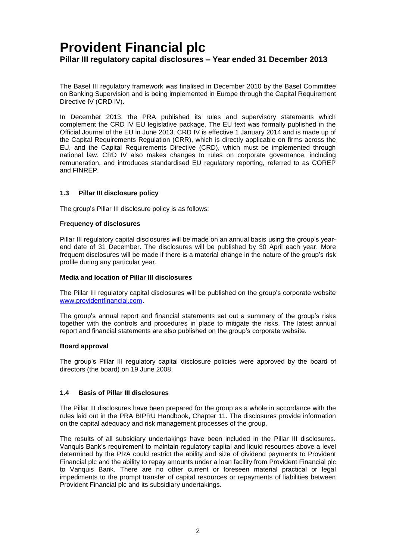The Basel III regulatory framework was finalised in December 2010 by the Basel Committee on Banking Supervision and is being implemented in Europe through the Capital Requirement Directive IV (CRD IV).

In December 2013, the PRA published its rules and supervisory statements which complement the CRD IV EU legislative package. The EU text was formally published in the Official Journal of the EU in June 2013. CRD IV is effective 1 January 2014 and is made up of the Capital Requirements Regulation (CRR), which is directly applicable on firms across the EU, and the Capital Requirements Directive (CRD), which must be implemented through national law. CRD IV also makes changes to rules on corporate governance, including remuneration, and introduces standardised EU regulatory reporting, referred to as COREP and FINREP.

### **1.3 Pillar III disclosure policy**

The group's Pillar III disclosure policy is as follows:

### **Frequency of disclosures**

Pillar III regulatory capital disclosures will be made on an annual basis using the group's yearend date of 31 December. The disclosures will be published by 30 April each year. More frequent disclosures will be made if there is a material change in the nature of the group's risk profile during any particular year.

### **Media and location of Pillar III disclosures**

The Pillar III regulatory capital disclosures will be published on the group's corporate website [www.providentfinancial.com.](http://www.providentfinancial.com/)

The group's annual report and financial statements set out a summary of the group's risks together with the controls and procedures in place to mitigate the risks. The latest annual report and financial statements are also published on the group's corporate website.

#### **Board approval**

The group's Pillar III regulatory capital disclosure policies were approved by the board of directors (the board) on 19 June 2008.

### **1.4 Basis of Pillar III disclosures**

The Pillar III disclosures have been prepared for the group as a whole in accordance with the rules laid out in the PRA BIPRU Handbook, Chapter 11. The disclosures provide information on the capital adequacy and risk management processes of the group.

The results of all subsidiary undertakings have been included in the Pillar III disclosures. Vanquis Bank's requirement to maintain regulatory capital and liquid resources above a level determined by the PRA could restrict the ability and size of dividend payments to Provident Financial plc and the ability to repay amounts under a loan facility from Provident Financial plc to Vanquis Bank. There are no other current or foreseen material practical or legal impediments to the prompt transfer of capital resources or repayments of liabilities between Provident Financial plc and its subsidiary undertakings.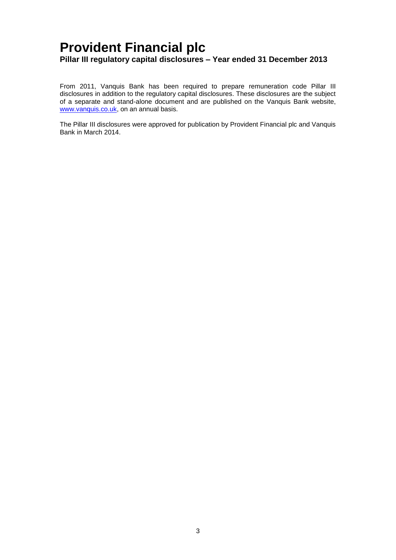From 2011, Vanquis Bank has been required to prepare remuneration code Pillar III disclosures in addition to the regulatory capital disclosures. These disclosures are the subject of a separate and stand-alone document and are published on the Vanquis Bank website, [www.vanquis.co.uk,](http://www.vanquis.co.uk/) on an annual basis.

The Pillar III disclosures were approved for publication by Provident Financial plc and Vanquis Bank in March 2014.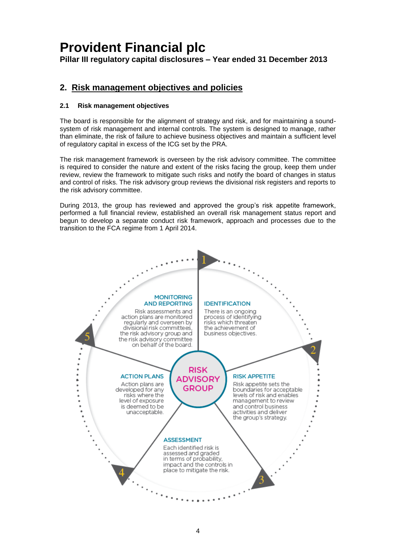**Pillar III regulatory capital disclosures – Year ended 31 December 2013**

### <span id="page-5-0"></span>**2. Risk management objectives and policies**

### **2.1 Risk management objectives**

The board is responsible for the alignment of strategy and risk, and for maintaining a soundsystem of risk management and internal controls. The system is designed to manage, rather than eliminate, the risk of failure to achieve business objectives and maintain a sufficient level of regulatory capital in excess of the ICG set by the PRA.

The risk management framework is overseen by the risk advisory committee. The committee is required to consider the nature and extent of the risks facing the group, keep them under review, review the framework to mitigate such risks and notify the board of changes in status and control of risks. The risk advisory group reviews the divisional risk registers and reports to the risk advisory committee.

During 2013, the group has reviewed and approved the group's risk appetite framework, performed a full financial review, established an overall risk management status report and begun to develop a separate conduct risk framework, approach and processes due to the transition to the FCA regime from 1 April 2014.

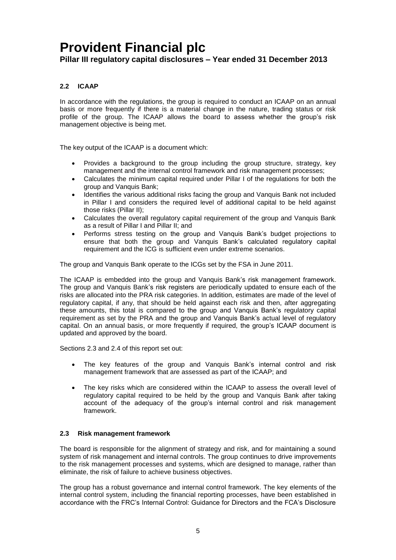**Pillar III regulatory capital disclosures – Year ended 31 December 2013**

### **2.2 ICAAP**

In accordance with the regulations, the group is required to conduct an ICAAP on an annual basis or more frequently if there is a material change in the nature, trading status or risk profile of the group. The ICAAP allows the board to assess whether the group's risk management objective is being met.

The key output of the ICAAP is a document which:

- Provides a background to the group including the group structure, strategy, key management and the internal control framework and risk management processes;
- Calculates the minimum capital required under Pillar I of the regulations for both the group and Vanquis Bank;
- Identifies the various additional risks facing the group and Vanquis Bank not included in Pillar I and considers the required level of additional capital to be held against those risks (Pillar II);
- Calculates the overall regulatory capital requirement of the group and Vanquis Bank as a result of Pillar I and Pillar II; and
- Performs stress testing on the group and Vanquis Bank's budget projections to ensure that both the group and Vanquis Bank's calculated regulatory capital requirement and the ICG is sufficient even under extreme scenarios.

The group and Vanquis Bank operate to the ICGs set by the FSA in June 2011.

The ICAAP is embedded into the group and Vanquis Bank's risk management framework. The group and Vanquis Bank's risk registers are periodically updated to ensure each of the risks are allocated into the PRA risk categories. In addition, estimates are made of the level of regulatory capital, if any, that should be held against each risk and then, after aggregating these amounts, this total is compared to the group and Vanquis Bank's regulatory capital requirement as set by the PRA and the group and Vanquis Bank's actual level of regulatory capital. On an annual basis, or more frequently if required, the group's ICAAP document is updated and approved by the board.

Sections [2.3](#page-6-0) and [2.4](#page-12-0) of this report set out:

- The key features of the group and Vanquis Bank's internal control and risk management framework that are assessed as part of the ICAAP; and
- The key risks which are considered within the ICAAP to assess the overall level of regulatory capital required to be held by the group and Vanquis Bank after taking account of the adequacy of the group's internal control and risk management framework.

### <span id="page-6-0"></span>**2.3 Risk management framework**

The board is responsible for the alignment of strategy and risk, and for maintaining a sound system of risk management and internal controls. The group continues to drive improvements to the risk management processes and systems, which are designed to manage, rather than eliminate, the risk of failure to achieve business objectives.

The group has a robust governance and internal control framework. The key elements of the internal control system, including the financial reporting processes, have been established in accordance with the FRC's Internal Control: Guidance for Directors and the FCA's Disclosure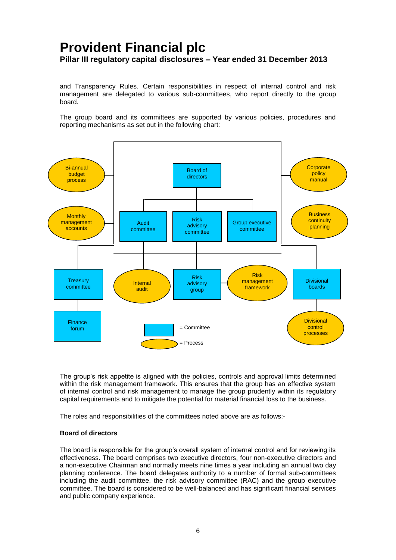and Transparency Rules. Certain responsibilities in respect of internal control and risk management are delegated to various sub-committees, who report directly to the group board.

The group board and its committees are supported by various policies, procedures and reporting mechanisms as set out in the following chart:



The group's risk appetite is aligned with the policies, controls and approval limits determined within the risk management framework. This ensures that the group has an effective system of internal control and risk management to manage the group prudently within its regulatory capital requirements and to mitigate the potential for material financial loss to the business.

The roles and responsibilities of the committees noted above are as follows:-

#### **Board of directors**

The board is responsible for the group's overall system of internal control and for reviewing its effectiveness. The board comprises two executive directors, four non-executive directors and a non-executive Chairman and normally meets nine times a year including an annual two day planning conference. The board delegates authority to a number of formal sub-committees including the audit committee, the risk advisory committee (RAC) and the group executive committee. The board is considered to be well-balanced and has significant financial services and public company experience.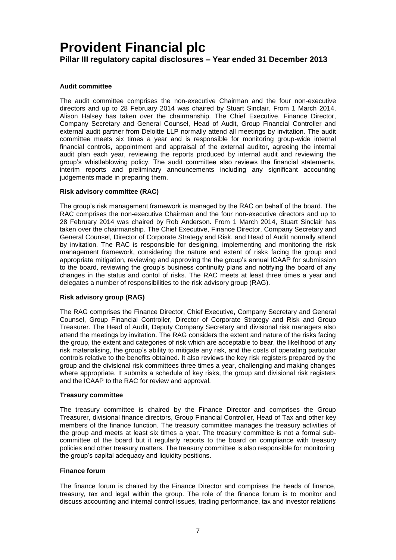**Pillar III regulatory capital disclosures – Year ended 31 December 2013**

### **Audit committee**

The audit committee comprises the non-executive Chairman and the four non-executive directors and up to 28 February 2014 was chaired by Stuart Sinclair. From 1 March 2014, Alison Halsey has taken over the chairmanship. The Chief Executive, Finance Director, Company Secretary and General Counsel, Head of Audit, Group Financial Controller and external audit partner from Deloitte LLP normally attend all meetings by invitation. The audit committee meets six times a year and is responsible for monitoring group-wide internal financial controls, appointment and appraisal of the external auditor, agreeing the internal audit plan each year, reviewing the reports produced by internal audit and reviewing the group's whistleblowing policy. The audit committee also reviews the financial statements, interim reports and preliminary announcements including any significant accounting judgements made in preparing them.

### **Risk advisory committee (RAC)**

The group's risk management framework is managed by the RAC on behalf of the board. The RAC comprises the non-executive Chairman and the four non-executive directors and up to 28 February 2014 was chaired by Rob Anderson. From 1 March 2014, Stuart Sinclair has taken over the chairmanship. The Chief Executive, Finance Director, Company Secretary and General Counsel, Director of Corporate Strategy and Risk, and Head of Audit normally attend by invitation. The RAC is responsible for designing, implementing and monitoring the risk management framework, considering the nature and extent of risks facing the group and appropriate mitigation, reviewing and approving the the group's annual ICAAP for submission to the board, reviewing the group's business continuity plans and notifying the board of any changes in the status and contol of risks. The RAC meets at least three times a year and delegates a number of responsibilities to the risk advisory group (RAG).

### **Risk advisory group (RAG)**

The RAG comprises the Finance Director, Chief Executive, Company Secretary and General Counsel, Group Financial Controller, Director of Corporate Strategy and Risk and Group Treasurer. The Head of Audit, Deputy Company Secretary and divisional risk managers also attend the meetings by invitation. The RAG considers the extent and nature of the risks facing the group, the extent and categories of risk which are acceptable to bear, the likelihood of any risk materialising, the group's ability to mitigate any risk, and the costs of operating particular controls relative to the benefits obtained. It also reviews the key risk registers prepared by the group and the divisional risk committees three times a year, challenging and making changes where appropriate. It submits a schedule of key risks, the group and divisional risk registers and the ICAAP to the RAC for review and approval.

#### **Treasury committee**

The treasury committee is chaired by the Finance Director and comprises the Group Treasurer, divisional finance directors, Group Financial Controller, Head of Tax and other key members of the finance function. The treasury committee manages the treasury activities of the group and meets at least six times a year. The treasury committee is not a formal subcommittee of the board but it regularly reports to the board on compliance with treasury policies and other treasury matters. The treasury committee is also responsible for monitoring the group's capital adequacy and liquidity positions.

#### **Finance forum**

The finance forum is chaired by the Finance Director and comprises the heads of finance, treasury, tax and legal within the group. The role of the finance forum is to monitor and discuss accounting and internal control issues, trading performance, tax and investor relations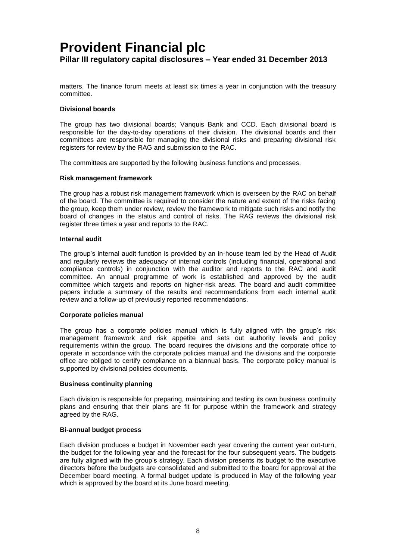matters. The finance forum meets at least six times a year in conjunction with the treasury committee.

#### **Divisional boards**

The group has two divisional boards; Vanquis Bank and CCD. Each divisional board is responsible for the day-to-day operations of their division. The divisional boards and their committees are responsible for managing the divisional risks and preparing divisional risk registers for review by the RAG and submission to the RAC.

The committees are supported by the following business functions and processes.

#### **Risk management framework**

The group has a robust risk management framework which is overseen by the RAC on behalf of the board. The committee is required to consider the nature and extent of the risks facing the group, keep them under review, review the framework to mitigate such risks and notify the board of changes in the status and control of risks. The RAG reviews the divisional risk register three times a year and reports to the RAC.

#### **Internal audit**

The group's internal audit function is provided by an in-house team led by the Head of Audit and regularly reviews the adequacy of internal controls (including financial, operational and compliance controls) in conjunction with the auditor and reports to the RAC and audit committee. An annual programme of work is established and approved by the audit committee which targets and reports on higher-risk areas. The board and audit committee papers include a summary of the results and recommendations from each internal audit review and a follow-up of previously reported recommendations.

#### **Corporate policies manual**

The group has a corporate policies manual which is fully aligned with the group's risk management framework and risk appetite and sets out authority levels and policy requirements within the group. The board requires the divisions and the corporate office to operate in accordance with the corporate policies manual and the divisions and the corporate office are obliged to certify compliance on a biannual basis. The corporate policy manual is supported by divisional policies documents.

#### **Business continuity planning**

Each division is responsible for preparing, maintaining and testing its own business continuity plans and ensuring that their plans are fit for purpose within the framework and strategy agreed by the RAG.

#### **Bi-annual budget process**

Each division produces a budget in November each year covering the current year out-turn, the budget for the following year and the forecast for the four subsequent years. The budgets are fully aligned with the group's strategy. Each division presents its budget to the executive directors before the budgets are consolidated and submitted to the board for approval at the December board meeting. A formal budget update is produced in May of the following year which is approved by the board at its June board meeting.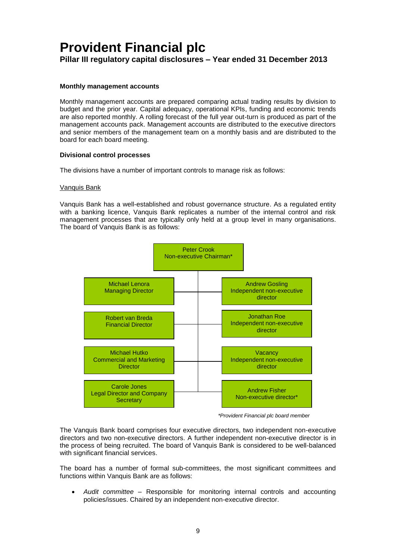### **Monthly management accounts**

Monthly management accounts are prepared comparing actual trading results by division to budget and the prior year. Capital adequacy, operational KPIs, funding and economic trends are also reported monthly. A rolling forecast of the full year out-turn is produced as part of the management accounts pack. Management accounts are distributed to the executive directors and senior members of the management team on a monthly basis and are distributed to the board for each board meeting.

#### **Divisional control processes**

The divisions have a number of important controls to manage risk as follows:

#### Vanquis Bank

Vanquis Bank has a well-established and robust governance structure. As a regulated entity with a banking licence, Vanquis Bank replicates a number of the internal control and risk management processes that are typically only held at a group level in many organisations. The board of Vanquis Bank is as follows:



 *\*Provident Financial plc board member*

The Vanquis Bank board comprises four executive directors, two independent non-executive directors and two non-executive directors. A further independent non-executive director is in the process of being recruited. The board of Vanquis Bank is considered to be well-balanced with significant financial services.

The board has a number of formal sub-committees, the most significant committees and functions within Vanquis Bank are as follows:

 *Audit committee* – Responsible for monitoring internal controls and accounting policies/issues. Chaired by an independent non-executive director.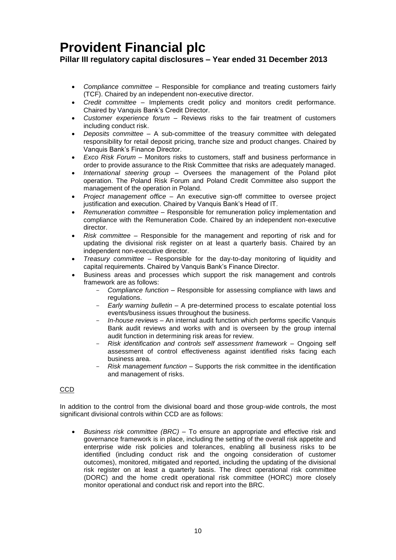**Pillar III regulatory capital disclosures – Year ended 31 December 2013**

- *Compliance committee*  Responsible for compliance and treating customers fairly (TCF). Chaired by an independent non-executive director.
- *Credit committee*  Implements credit policy and monitors credit performance. Chaired by Vanquis Bank's Credit Director.
- *Customer experience forum*  Reviews risks to the fair treatment of customers including conduct risk.
- *Deposits committee*  A sub-committee of the treasury committee with delegated responsibility for retail deposit pricing, tranche size and product changes. Chaired by Vanquis Bank's Finance Director.
- *Exco Risk Forum* Monitors risks to customers, staff and business performance in order to provide assurance to the Risk Committee that risks are adequately managed.
- *International steering group*  Oversees the management of the Poland pilot operation. The Poland Risk Forum and Poland Credit Committee also support the management of the operation in Poland.
- *Project management office*  An executive sign-off committee to oversee project justification and execution. Chaired by Vanquis Bank's Head of IT.
- *Remuneration committee*  Responsible for remuneration policy implementation and compliance with the Remuneration Code. Chaired by an independent non-executive director.
- *Risk committee* Responsible for the management and reporting of risk and for updating the divisional risk register on at least a quarterly basis. Chaired by an independent non-executive director.
- *Treasury committee* Responsible for the day-to-day monitoring of liquidity and capital requirements. Chaired by Vanquis Bank's Finance Director.
- Business areas and processes which support the risk management and controls framework are as follows:
	- *Compliance function* Responsible for assessing compliance with laws and regulations.
	- *Early warning bulletin* A pre-determined process to escalate potential loss events/business issues throughout the business.
	- *In-house reviews* An internal audit function which performs specific Vanquis Bank audit reviews and works with and is overseen by the group internal audit function in determining risk areas for review.
	- *Risk identification and controls self assessment framework*  Ongoing self assessment of control effectiveness against identified risks facing each business area.
	- *Risk management function*  Supports the risk committee in the identification and management of risks.

### CCD

In addition to the control from the divisional board and those group-wide controls, the most significant divisional controls within CCD are as follows:

 *Business risk committee (BRC)* – To ensure an appropriate and effective risk and governance framework is in place, including the setting of the overall risk appetite and enterprise wide risk policies and tolerances, enabling all business risks to be identified (including conduct risk and the ongoing consideration of customer outcomes), monitored, mitigated and reported, including the updating of the divisional risk register on at least a quarterly basis. The direct operational risk committee (DORC) and the home credit operational risk committee (HORC) more closely monitor operational and conduct risk and report into the BRC.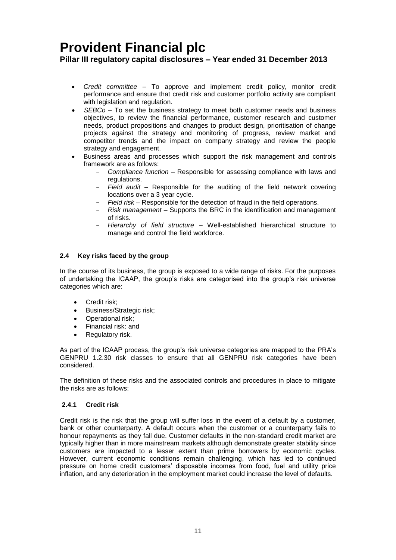**Pillar III regulatory capital disclosures – Year ended 31 December 2013**

- *Credit committee*  To approve and implement credit policy, monitor credit performance and ensure that credit risk and customer portfolio activity are compliant with legislation and regulation.
- *SEBCo –* To set the business strategy to meet both customer needs and business objectives, to review the financial performance, customer research and customer needs, product propositions and changes to product design, prioritisation of change projects against the strategy and monitoring of progress, review market and competitor trends and the impact on company strategy and review the people strategy and engagement.
- Business areas and processes which support the risk management and controls framework are as follows:
	- *Compliance function* Responsible for assessing compliance with laws and regulations.
	- *Field audit* Responsible for the auditing of the field network covering locations over a 3 year cycle.
	- *Field risk*  Responsible for the detection of fraud in the field operations.
	- *Risk management*  Supports the BRC in the identification and management of risks.
	- *Hierarchy of field structure* Well-established hierarchical structure to manage and control the field workforce.

### <span id="page-12-0"></span>**2.4 Key risks faced by the group**

In the course of its business, the group is exposed to a wide range of risks. For the purposes of undertaking the ICAAP, the group's risks are categorised into the group's risk universe categories which are:

- Credit risk;
- Business/Strategic risk;
- Operational risk:
- Financial risk: and
- Regulatory risk.

As part of the ICAAP process, the group's risk universe categories are mapped to the PRA's GENPRU 1.2.30 risk classes to ensure that all GENPRU risk categories have been considered.

The definition of these risks and the associated controls and procedures in place to mitigate the risks are as follows:

### **2.4.1 Credit risk**

Credit risk is the risk that the group will suffer loss in the event of a default by a customer, bank or other counterparty. A default occurs when the customer or a counterparty fails to honour repayments as they fall due. Customer defaults in the non-standard credit market are typically higher than in more mainstream markets although demonstrate greater stability since customers are impacted to a lesser extent than prime borrowers by economic cycles. However, current economic conditions remain challenging, which has led to continued pressure on home credit customers' disposable incomes from food, fuel and utility price inflation, and any deterioration in the employment market could increase the level of defaults.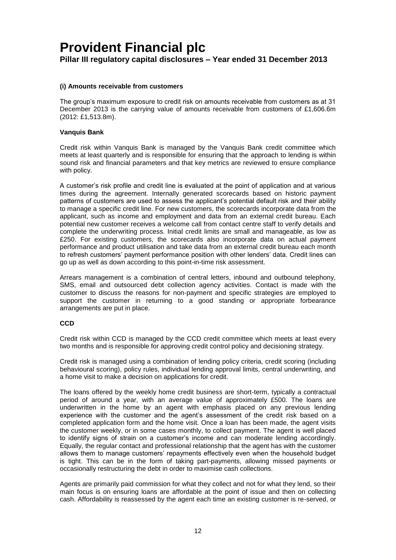**Pillar III regulatory capital disclosures – Year ended 31 December 2013**

### **(i) Amounts receivable from customers**

The group's maximum exposure to credit risk on amounts receivable from customers as at 31 December 2013 is the carrying value of amounts receivable from customers of £1,606.6m (2012: £1,513.8m).

### **Vanquis Bank**

Credit risk within Vanquis Bank is managed by the Vanquis Bank credit committee which meets at least quarterly and is responsible for ensuring that the approach to lending is within sound risk and financial parameters and that key metrics are reviewed to ensure compliance with policy.

A customer's risk profile and credit line is evaluated at the point of application and at various times during the agreement. Internally generated scorecards based on historic payment patterns of customers are used to assess the applicant's potential default risk and their ability to manage a specific credit line. For new customers, the scorecards incorporate data from the applicant, such as income and employment and data from an external credit bureau. Each potential new customer receives a welcome call from contact centre staff to verify details and complete the underwriting process. Initial credit limits are small and manageable, as low as £250. For existing customers, the scorecards also incorporate data on actual payment performance and product utilisation and take data from an external credit bureau each month to refresh customers' payment performance position with other lenders' data. Credit lines can go up as well as down according to this point-in-time risk assessment.

Arrears management is a combination of central letters, inbound and outbound telephony, SMS, email and outsourced debt collection agency activities. Contact is made with the customer to discuss the reasons for non-payment and specific strategies are employed to support the customer in returning to a good standing or appropriate forbearance arrangements are put in place.

### **CCD**

Credit risk within CCD is managed by the CCD credit committee which meets at least every two months and is responsible for approving credit control policy and decisioning strategy.

Credit risk is managed using a combination of lending policy criteria, credit scoring (including behavioural scoring), policy rules, individual lending approval limits, central underwriting, and a home visit to make a decision on applications for credit.

The loans offered by the weekly home credit business are short-term, typically a contractual period of around a year, with an average value of approximately £500. The loans are underwritten in the home by an agent with emphasis placed on any previous lending experience with the customer and the agent's assessment of the credit risk based on a completed application form and the home visit. Once a loan has been made, the agent visits the customer weekly, or in some cases monthly, to collect payment. The agent is well placed to identify signs of strain on a customer's income and can moderate lending accordingly. Equally, the regular contact and professional relationship that the agent has with the customer allows them to manage customers' repayments effectively even when the household budget is tight. This can be in the form of taking part-payments, allowing missed payments or occasionally restructuring the debt in order to maximise cash collections.

Agents are primarily paid commission for what they collect and not for what they lend, so their main focus is on ensuring loans are affordable at the point of issue and then on collecting cash. Affordability is reassessed by the agent each time an existing customer is re-served, or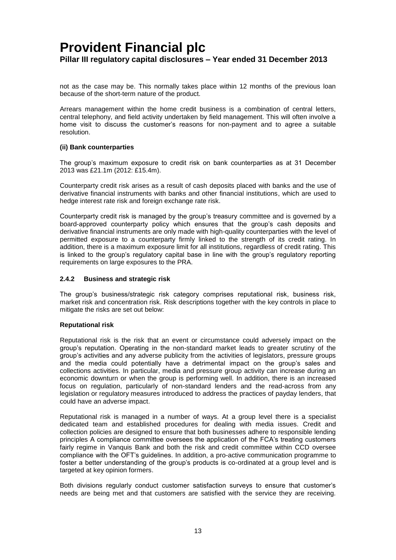not as the case may be. This normally takes place within 12 months of the previous loan because of the short-term nature of the product.

Arrears management within the home credit business is a combination of central letters, central telephony, and field activity undertaken by field management. This will often involve a home visit to discuss the customer's reasons for non-payment and to agree a suitable resolution.

### **(ii) Bank counterparties**

The group's maximum exposure to credit risk on bank counterparties as at 31 December 2013 was £21.1m (2012: £15.4m).

Counterparty credit risk arises as a result of cash deposits placed with banks and the use of derivative financial instruments with banks and other financial institutions, which are used to hedge interest rate risk and foreign exchange rate risk.

Counterparty credit risk is managed by the group's treasury committee and is governed by a board-approved counterparty policy which ensures that the group's cash deposits and derivative financial instruments are only made with high-quality counterparties with the level of permitted exposure to a counterparty firmly linked to the strength of its credit rating. In addition, there is a maximum exposure limit for all institutions, regardless of credit rating. This is linked to the group's regulatory capital base in line with the group's regulatory reporting requirements on large exposures to the PRA.

### <span id="page-14-0"></span>**2.4.2 Business and strategic risk**

The group's business/strategic risk category comprises reputational risk, business risk, market risk and concentration risk. Risk descriptions together with the key controls in place to mitigate the risks are set out below:

#### **Reputational risk**

Reputational risk is the risk that an event or circumstance could adversely impact on the group's reputation. Operating in the non-standard market leads to greater scrutiny of the group's activities and any adverse publicity from the activities of legislators, pressure groups and the media could potentially have a detrimental impact on the group's sales and collections activities. In particular, media and pressure group activity can increase during an economic downturn or when the group is performing well. In addition, there is an increased focus on regulation, particularly of non-standard lenders and the read-across from any legislation or regulatory measures introduced to address the practices of payday lenders, that could have an adverse impact.

Reputational risk is managed in a number of ways. At a group level there is a specialist dedicated team and established procedures for dealing with media issues. Credit and collection policies are designed to ensure that both businesses adhere to responsible lending principles A compliance committee oversees the application of the FCA's treating customers fairly regime in Vanquis Bank and both the risk and credit committee within CCD oversee compliance with the OFT's guidelines. In addition, a pro-active communication programme to foster a better understanding of the group's products is co-ordinated at a group level and is targeted at key opinion formers.

Both divisions regularly conduct customer satisfaction surveys to ensure that customer's needs are being met and that customers are satisfied with the service they are receiving.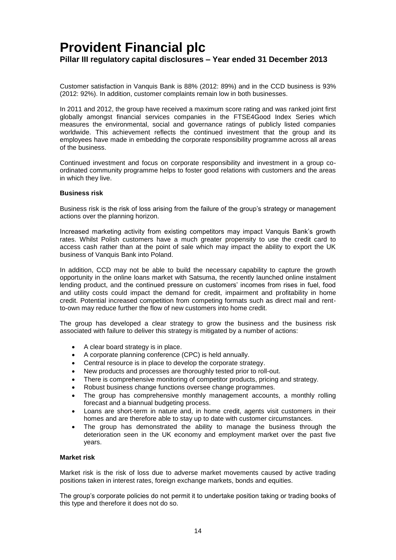Customer satisfaction in Vanquis Bank is 88% (2012: 89%) and in the CCD business is 93% (2012: 92%). In addition, customer complaints remain low in both businesses.

In 2011 and 2012, the group have received a maximum score rating and was ranked joint first globally amongst financial services companies in the FTSE4Good Index Series which measures the environmental, social and governance ratings of publicly listed companies worldwide. This achievement reflects the continued investment that the group and its employees have made in embedding the corporate responsibility programme across all areas of the business.

Continued investment and focus on corporate responsibility and investment in a group coordinated community programme helps to foster good relations with customers and the areas in which they live.

#### **Business risk**

Business risk is the risk of loss arising from the failure of the group's strategy or management actions over the planning horizon.

Increased marketing activity from existing competitors may impact Vanquis Bank's growth rates. Whilst Polish customers have a much greater propensity to use the credit card to access cash rather than at the point of sale which may impact the ability to export the UK business of Vanquis Bank into Poland.

In addition, CCD may not be able to build the necessary capability to capture the growth opportunity in the online loans market with Satsuma, the recently launched online instalment lending product, and the continued pressure on customers' incomes from rises in fuel, food and utility costs could impact the demand for credit, impairment and profitability in home credit. Potential increased competition from competing formats such as direct mail and rentto-own may reduce further the flow of new customers into home credit.

The group has developed a clear strategy to grow the business and the business risk associated with failure to deliver this strategy is mitigated by a number of actions:

- A clear board strategy is in place.
- A corporate planning conference (CPC) is held annually.
- Central resource is in place to develop the corporate strategy.
- New products and processes are thoroughly tested prior to roll-out.
- There is comprehensive monitoring of competitor products, pricing and strategy.
- Robust business change functions oversee change programmes.
- The group has comprehensive monthly management accounts, a monthly rolling forecast and a biannual budgeting process.
- Loans are short-term in nature and, in home credit, agents visit customers in their homes and are therefore able to stay up to date with customer circumstances.
- The group has demonstrated the ability to manage the business through the deterioration seen in the UK economy and employment market over the past five years.

#### **Market risk**

Market risk is the risk of loss due to adverse market movements caused by active trading positions taken in interest rates, foreign exchange markets, bonds and equities.

The group's corporate policies do not permit it to undertake position taking or trading books of this type and therefore it does not do so.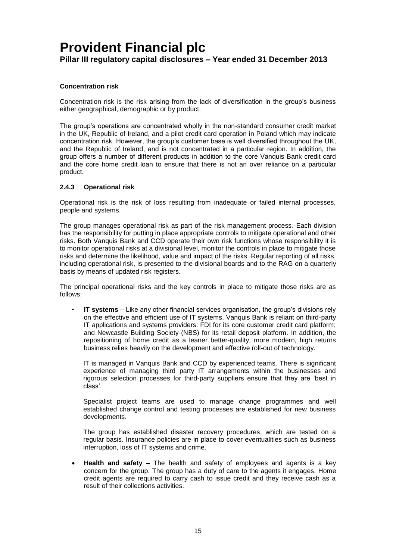### **Concentration risk**

Concentration risk is the risk arising from the lack of diversification in the group's business either geographical, demographic or by product.

The group's operations are concentrated wholly in the non-standard consumer credit market in the UK, Republic of Ireland, and a pilot credit card operation in Poland which may indicate concentration risk. However, the group's customer base is well diversified throughout the UK, and the Republic of Ireland, and is not concentrated in a particular region. In addition, the group offers a number of different products in addition to the core Vanquis Bank credit card and the core home credit loan to ensure that there is not an over reliance on a particular product.

### **2.4.3 Operational risk**

Operational risk is the risk of loss resulting from inadequate or failed internal processes, people and systems.

The group manages operational risk as part of the risk management process. Each division has the responsibility for putting in place appropriate controls to mitigate operational and other risks. Both Vanquis Bank and CCD operate their own risk functions whose responsibility it is to monitor operational risks at a divisional level, monitor the controls in place to mitigate those risks and determine the likelihood, value and impact of the risks. Regular reporting of all risks, including operational risk, is presented to the divisional boards and to the RAG on a quarterly basis by means of updated risk registers.

The principal operational risks and the key controls in place to mitigate those risks are as follows:

• **IT systems** – Like any other financial services organisation, the group's divisions rely on the effective and efficient use of IT systems. Vanquis Bank is reliant on third-party IT applications and systems providers: FDI for its core customer credit card platform; and Newcastle Building Society (NBS) for its retail deposit platform. In addition, the repositioning of home credit as a leaner better-quality, more modern, high returns business relies heavily on the development and effective roll-out of technology.

IT is managed in Vanquis Bank and CCD by experienced teams. There is significant experience of managing third party IT arrangements within the businesses and rigorous selection processes for third-party suppliers ensure that they are 'best in class'.

Specialist project teams are used to manage change programmes and well established change control and testing processes are established for new business developments.

The group has established disaster recovery procedures, which are tested on a regular basis. Insurance policies are in place to cover eventualities such as business interruption, loss of IT systems and crime.

 **Health and safety** – The health and safety of employees and agents is a key concern for the group. The group has a duty of care to the agents it engages. Home credit agents are required to carry cash to issue credit and they receive cash as a result of their collections activities.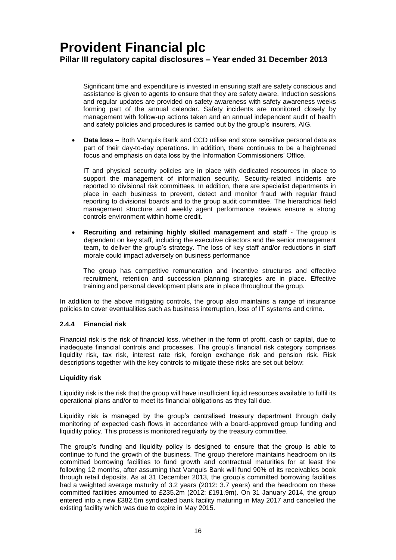Significant time and expenditure is invested in ensuring staff are safety conscious and assistance is given to agents to ensure that they are safety aware. Induction sessions and regular updates are provided on safety awareness with safety awareness weeks forming part of the annual calendar. Safety incidents are monitored closely by management with follow-up actions taken and an annual independent audit of health and safety policies and procedures is carried out by the group's insurers, AIG.

 **Data loss** – Both Vanquis Bank and CCD utilise and store sensitive personal data as part of their day-to-day operations. In addition, there continues to be a heightened focus and emphasis on data loss by the Information Commissioners' Office.

IT and physical security policies are in place with dedicated resources in place to support the management of information security. Security-related incidents are reported to divisional risk committees. In addition, there are specialist departments in place in each business to prevent, detect and monitor fraud with regular fraud reporting to divisional boards and to the group audit committee. The hierarchical field management structure and weekly agent performance reviews ensure a strong controls environment within home credit.

 **Recruiting and retaining highly skilled management and staff** - The group is dependent on key staff, including the executive directors and the senior management team, to deliver the group's strategy. The loss of key staff and/or reductions in staff morale could impact adversely on business performance

The group has competitive remuneration and incentive structures and effective recruitment, retention and succession planning strategies are in place. Effective training and personal development plans are in place throughout the group.

In addition to the above mitigating controls, the group also maintains a range of insurance policies to cover eventualities such as business interruption, loss of IT systems and crime.

#### <span id="page-17-0"></span>**2.4.4 Financial risk**

Financial risk is the risk of financial loss, whether in the form of profit, cash or capital, due to inadequate financial controls and processes. The group's financial risk category comprises liquidity risk, tax risk, interest rate risk, foreign exchange risk and pension risk. Risk descriptions together with the key controls to mitigate these risks are set out below:

#### **Liquidity risk**

Liquidity risk is the risk that the group will have insufficient liquid resources available to fulfil its operational plans and/or to meet its financial obligations as they fall due.

Liquidity risk is managed by the group's centralised treasury department through daily monitoring of expected cash flows in accordance with a board-approved group funding and liquidity policy. This process is monitored regularly by the treasury committee.

The group's funding and liquidity policy is designed to ensure that the group is able to continue to fund the growth of the business. The group therefore maintains headroom on its committed borrowing facilities to fund growth and contractual maturities for at least the following 12 months, after assuming that Vanquis Bank will fund 90% of its receivables book through retail deposits. As at 31 December 2013, the group's committed borrowing facilities had a weighted average maturity of 3.2 years (2012: 3.7 years) and the headroom on these committed facilities amounted to £235.2m (2012: £191.9m). On 31 January 2014, the group entered into a new £382.5m syndicated bank facility maturing in May 2017 and cancelled the existing facility which was due to expire in May 2015.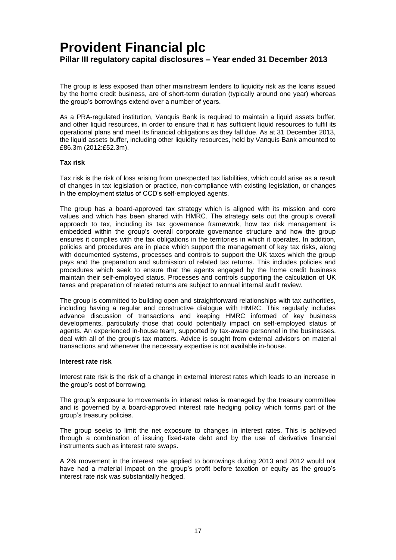The group is less exposed than other mainstream lenders to liquidity risk as the loans issued by the home credit business, are of short-term duration (typically around one year) whereas the group's borrowings extend over a number of years.

As a PRA-regulated institution, Vanquis Bank is required to maintain a liquid assets buffer, and other liquid resources, in order to ensure that it has sufficient liquid resources to fulfil its operational plans and meet its financial obligations as they fall due. As at 31 December 2013, the liquid assets buffer, including other liquidity resources, held by Vanquis Bank amounted to £86.3m (2012:£52.3m).

#### **Tax risk**

Tax risk is the risk of loss arising from unexpected tax liabilities, which could arise as a result of changes in tax legislation or practice, non-compliance with existing legislation, or changes in the employment status of CCD's self-employed agents.

The group has a board-approved tax strategy which is aligned with its mission and core values and which has been shared with HMRC. The strategy sets out the group's overall approach to tax, including its tax governance framework, how tax risk management is embedded within the group's overall corporate governance structure and how the group ensures it complies with the tax obligations in the territories in which it operates. In addition, policies and procedures are in place which support the management of key tax risks, along with documented systems, processes and controls to support the UK taxes which the group pays and the preparation and submission of related tax returns. This includes policies and procedures which seek to ensure that the agents engaged by the home credit business maintain their self-employed status. Processes and controls supporting the calculation of UK taxes and preparation of related returns are subject to annual internal audit review.

The group is committed to building open and straightforward relationships with tax authorities, including having a regular and constructive dialogue with HMRC. This regularly includes advance discussion of transactions and keeping HMRC informed of key business developments, particularly those that could potentially impact on self-employed status of agents. An experienced in-house team, supported by tax-aware personnel in the businesses, deal with all of the group's tax matters. Advice is sought from external advisors on material transactions and whenever the necessary expertise is not available in-house.

#### **Interest rate risk**

Interest rate risk is the risk of a change in external interest rates which leads to an increase in the group's cost of borrowing.

The group's exposure to movements in interest rates is managed by the treasury committee and is governed by a board-approved interest rate hedging policy which forms part of the group's treasury policies.

The group seeks to limit the net exposure to changes in interest rates. This is achieved through a combination of issuing fixed-rate debt and by the use of derivative financial instruments such as interest rate swaps.

A 2% movement in the interest rate applied to borrowings during 2013 and 2012 would not have had a material impact on the group's profit before taxation or equity as the group's interest rate risk was substantially hedged.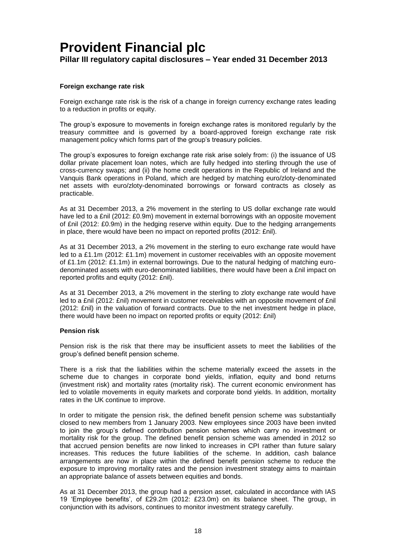### **Foreign exchange rate risk**

Foreign exchange rate risk is the risk of a change in foreign currency exchange rates leading to a reduction in profits or equity.

The group's exposure to movements in foreign exchange rates is monitored regularly by the treasury committee and is governed by a board-approved foreign exchange rate risk management policy which forms part of the group's treasury policies.

The group's exposures to foreign exchange rate risk arise solely from: (i) the issuance of US dollar private placement loan notes, which are fully hedged into sterling through the use of cross-currency swaps; and (ii) the home credit operations in the Republic of Ireland and the Vanquis Bank operations in Poland, which are hedged by matching euro/zloty-denominated net assets with euro/zloty-denominated borrowings or forward contracts as closely as practicable.

As at 31 December 2013, a 2% movement in the sterling to US dollar exchange rate would have led to a £nil (2012: £0.9m) movement in external borrowings with an opposite movement of £nil (2012: £0.9m) in the hedging reserve within equity. Due to the hedging arrangements in place, there would have been no impact on reported profits (2012: £nil).

As at 31 December 2013, a 2% movement in the sterling to euro exchange rate would have led to a £1.1m (2012: £1.1m) movement in customer receivables with an opposite movement of £1.1m (2012: £1.1m) in external borrowings. Due to the natural hedging of matching eurodenominated assets with euro-denominated liabilities, there would have been a £nil impact on reported profits and equity (2012: £nil).

As at 31 December 2013, a 2% movement in the sterling to zloty exchange rate would have led to a £nil (2012: £nil) movement in customer receivables with an opposite movement of £nil (2012: £nil) in the valuation of forward contracts. Due to the net investment hedge in place, there would have been no impact on reported profits or equity (2012: £nil)

#### **Pension risk**

Pension risk is the risk that there may be insufficient assets to meet the liabilities of the group's defined benefit pension scheme.

There is a risk that the liabilities within the scheme materially exceed the assets in the scheme due to changes in corporate bond yields, inflation, equity and bond returns (investment risk) and mortality rates (mortality risk). The current economic environment has led to volatile movements in equity markets and corporate bond yields. In addition, mortality rates in the UK continue to improve.

In order to mitigate the pension risk, the defined benefit pension scheme was substantially closed to new members from 1 January 2003. New employees since 2003 have been invited to join the group's defined contribution pension schemes which carry no investment or mortality risk for the group. The defined benefit pension scheme was amended in 2012 so that accrued pension benefits are now linked to increases in CPI rather than future salary increases. This reduces the future liabilities of the scheme. In addition, cash balance arrangements are now in place within the defined benefit pension scheme to reduce the exposure to improving mortality rates and the pension investment strategy aims to maintain an appropriate balance of assets between equities and bonds.

As at 31 December 2013, the group had a pension asset, calculated in accordance with IAS 19 'Employee benefits', of £29.2m (2012: £23.0m) on its balance sheet. The group, in conjunction with its advisors, continues to monitor investment strategy carefully.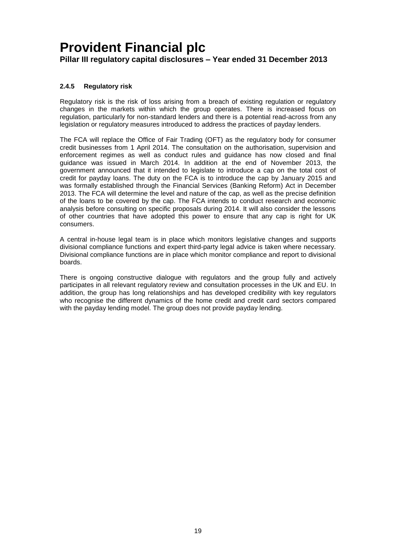### **2.4.5 Regulatory risk**

Regulatory risk is the risk of loss arising from a breach of existing regulation or regulatory changes in the markets within which the group operates. There is increased focus on regulation, particularly for non-standard lenders and there is a potential read-across from any legislation or regulatory measures introduced to address the practices of payday lenders.

The FCA will replace the Office of Fair Trading (OFT) as the regulatory body for consumer credit businesses from 1 April 2014. The consultation on the authorisation, supervision and enforcement regimes as well as conduct rules and guidance has now closed and final guidance was issued in March 2014. In addition at the end of November 2013, the government announced that it intended to legislate to introduce a cap on the total cost of credit for payday loans. The duty on the FCA is to introduce the cap by January 2015 and was formally established through the Financial Services (Banking Reform) Act in December 2013. The FCA will determine the level and nature of the cap, as well as the precise definition of the loans to be covered by the cap. The FCA intends to conduct research and economic analysis before consulting on specific proposals during 2014. It will also consider the lessons of other countries that have adopted this power to ensure that any cap is right for UK consumers.

A central in-house legal team is in place which monitors legislative changes and supports divisional compliance functions and expert third-party legal advice is taken where necessary. Divisional compliance functions are in place which monitor compliance and report to divisional boards.

There is ongoing constructive dialogue with regulators and the group fully and actively participates in all relevant regulatory review and consultation processes in the UK and EU. In addition, the group has long relationships and has developed credibility with key regulators who recognise the different dynamics of the home credit and credit card sectors compared with the payday lending model. The group does not provide payday lending.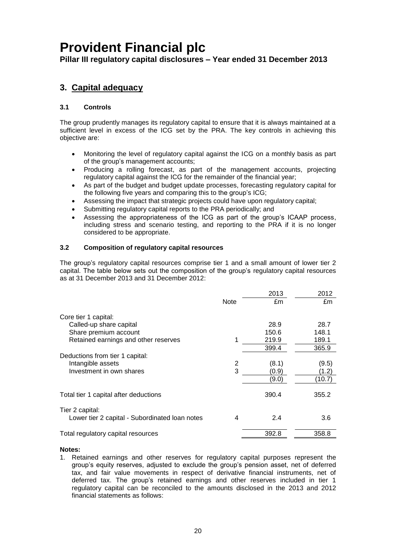**Pillar III regulatory capital disclosures – Year ended 31 December 2013**

### <span id="page-21-0"></span>**3. Capital adequacy**

### **3.1 Controls**

The group prudently manages its regulatory capital to ensure that it is always maintained at a sufficient level in excess of the ICG set by the PRA. The key controls in achieving this objective are:

- Monitoring the level of regulatory capital against the ICG on a monthly basis as part of the group's management accounts;
- Producing a rolling forecast, as part of the management accounts, projecting regulatory capital against the ICG for the remainder of the financial year;
- As part of the budget and budget update processes, forecasting regulatory capital for the following five years and comparing this to the group's ICG;
- Assessing the impact that strategic projects could have upon regulatory capital;
- Submitting regulatory capital reports to the PRA periodically; and
- Assessing the appropriateness of the ICG as part of the group's ICAAP process, including stress and scenario testing, and reporting to the PRA if it is no longer considered to be appropriate.

### **3.2 Composition of regulatory capital resources**

The group's regulatory capital resources comprise tier 1 and a small amount of lower tier 2 capital. The table below sets out the composition of the group's regulatory capital resources as at 31 December 2013 and 31 December 2012:

|                                                |      | 2013  | 2012   |
|------------------------------------------------|------|-------|--------|
|                                                | Note | £m    | £m     |
| Core tier 1 capital:                           |      |       |        |
| Called-up share capital                        |      | 28.9  | 28.7   |
| Share premium account                          |      | 150.6 | 148.1  |
| Retained earnings and other reserves           |      | 219.9 | 189.1  |
|                                                |      | 399.4 | 365.9  |
| Deductions from tier 1 capital:                |      |       |        |
| Intangible assets                              | 2    | (8.1) | (9.5)  |
| Investment in own shares                       | 3    | (0.9) | (1.2)  |
|                                                |      | (9.0) | (10.7) |
| Total tier 1 capital after deductions          |      | 390.4 | 355.2  |
| Tier 2 capital:                                |      |       |        |
| Lower tier 2 capital - Subordinated Ioan notes | 4    | 2.4   | 3.6    |
| Total regulatory capital resources             |      | 392.8 | 358.8  |
|                                                |      |       |        |

#### **Notes:**

1. Retained earnings and other reserves for regulatory capital purposes represent the group's equity reserves, adjusted to exclude the group's pension asset, net of deferred tax, and fair value movements in respect of derivative financial instruments, net of deferred tax. The group's retained earnings and other reserves included in tier 1 regulatory capital can be reconciled to the amounts disclosed in the 2013 and 2012 financial statements as follows: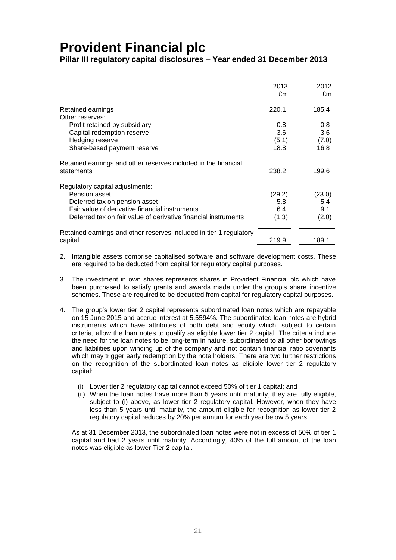**Pillar III regulatory capital disclosures – Year ended 31 December 2013**

|                                                                              | 2013   | 2012   |
|------------------------------------------------------------------------------|--------|--------|
|                                                                              | £m     | £m     |
| Retained earnings                                                            | 220.1  | 185.4  |
| Other reserves:                                                              |        |        |
| Profit retained by subsidiary                                                | 0.8    | 0.8    |
| Capital redemption reserve                                                   | 3.6    | 3.6    |
| Hedging reserve                                                              | (5.1)  | (7.0)  |
| Share-based payment reserve                                                  | 18.8   | 16.8   |
| Retained earnings and other reserves included in the financial<br>statements | 238.2  | 199.6  |
| Regulatory capital adjustments:                                              |        |        |
| Pension asset                                                                | (29.2) | (23.0) |
| Deferred tax on pension asset                                                | 5.8    | 5.4    |
| Fair value of derivative financial instruments                               | 6.4    | 9.1    |
| Deferred tax on fair value of derivative financial instruments               | (1.3)  | (2.0)  |
| Retained earnings and other reserves included in tier 1 regulatory           |        |        |
| capital                                                                      | 219.9  | 189.1  |

- 2. Intangible assets comprise capitalised software and software development costs. These are required to be deducted from capital for regulatory capital purposes.
- 3. The investment in own shares represents shares in Provident Financial plc which have been purchased to satisfy grants and awards made under the group's share incentive schemes. These are required to be deducted from capital for regulatory capital purposes.
- 4. The group's lower tier 2 capital represents subordinated loan notes which are repayable on 15 June 2015 and accrue interest at 5.5594%. The subordinated loan notes are hybrid instruments which have attributes of both debt and equity which, subject to certain criteria, allow the loan notes to qualify as eligible lower tier 2 capital. The criteria include the need for the loan notes to be long-term in nature, subordinated to all other borrowings and liabilities upon winding up of the company and not contain financial ratio covenants which may trigger early redemption by the note holders. There are two further restrictions on the recognition of the subordinated loan notes as eligible lower tier 2 regulatory capital:
	- (i) Lower tier 2 regulatory capital cannot exceed 50% of tier 1 capital; and
	- (ii) When the loan notes have more than 5 years until maturity, they are fully eligible, subject to (i) above, as lower tier 2 regulatory capital. However, when they have less than 5 years until maturity, the amount eligible for recognition as lower tier 2 regulatory capital reduces by 20% per annum for each year below 5 years.

As at 31 December 2013, the subordinated loan notes were not in excess of 50% of tier 1 capital and had 2 years until maturity. Accordingly, 40% of the full amount of the loan notes was eligible as lower Tier 2 capital.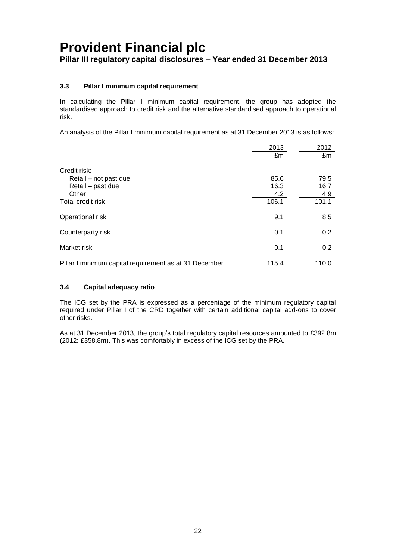**Pillar III regulatory capital disclosures – Year ended 31 December 2013**

### **3.3 Pillar I minimum capital requirement**

In calculating the Pillar I minimum capital requirement, the group has adopted the standardised approach to credit risk and the alternative standardised approach to operational risk.

An analysis of the Pillar I minimum capital requirement as at 31 December 2013 is as follows:

|                                                        | 2013  | 2012  |
|--------------------------------------------------------|-------|-------|
|                                                        | £m    | £m    |
| Credit risk:                                           |       |       |
| Retail – not past due                                  | 85.6  | 79.5  |
| Retail - past due                                      | 16.3  | 16.7  |
| Other                                                  | 4.2   | 4.9   |
| Total credit risk                                      | 106.1 | 101.1 |
| Operational risk                                       | 9.1   | 8.5   |
| Counterparty risk                                      | 0.1   | 0.2   |
| Market risk                                            | 0.1   | 0.2   |
| Pillar I minimum capital requirement as at 31 December | 115.4 | 110.0 |

### **3.4 Capital adequacy ratio**

The ICG set by the PRA is expressed as a percentage of the minimum regulatory capital required under Pillar I of the CRD together with certain additional capital add-ons to cover other risks.

As at 31 December 2013, the group's total regulatory capital resources amounted to £392.8m (2012: £358.8m). This was comfortably in excess of the ICG set by the PRA.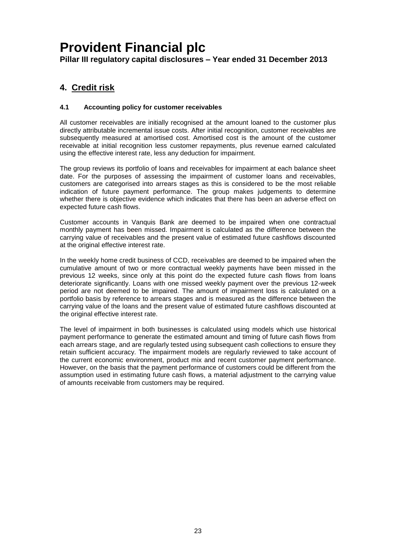**Pillar III regulatory capital disclosures – Year ended 31 December 2013**

### <span id="page-24-0"></span>**4. Credit risk**

### **4.1 Accounting policy for customer receivables**

All customer receivables are initially recognised at the amount loaned to the customer plus directly attributable incremental issue costs. After initial recognition, customer receivables are subsequently measured at amortised cost. Amortised cost is the amount of the customer receivable at initial recognition less customer repayments, plus revenue earned calculated using the effective interest rate, less any deduction for impairment.

The group reviews its portfolio of loans and receivables for impairment at each balance sheet date. For the purposes of assessing the impairment of customer loans and receivables, customers are categorised into arrears stages as this is considered to be the most reliable indication of future payment performance. The group makes judgements to determine whether there is objective evidence which indicates that there has been an adverse effect on expected future cash flows.

Customer accounts in Vanquis Bank are deemed to be impaired when one contractual monthly payment has been missed. Impairment is calculated as the difference between the carrying value of receivables and the present value of estimated future cashflows discounted at the original effective interest rate.

In the weekly home credit business of CCD, receivables are deemed to be impaired when the cumulative amount of two or more contractual weekly payments have been missed in the previous 12 weeks, since only at this point do the expected future cash flows from loans deteriorate significantly. Loans with one missed weekly payment over the previous 12-week period are not deemed to be impaired. The amount of impairment loss is calculated on a portfolio basis by reference to arrears stages and is measured as the difference between the carrying value of the loans and the present value of estimated future cashflows discounted at the original effective interest rate.

The level of impairment in both businesses is calculated using models which use historical payment performance to generate the estimated amount and timing of future cash flows from each arrears stage, and are regularly tested using subsequent cash collections to ensure they retain sufficient accuracy. The impairment models are regularly reviewed to take account of the current economic environment, product mix and recent customer payment performance. However, on the basis that the payment performance of customers could be different from the assumption used in estimating future cash flows, a material adjustment to the carrying value of amounts receivable from customers may be required.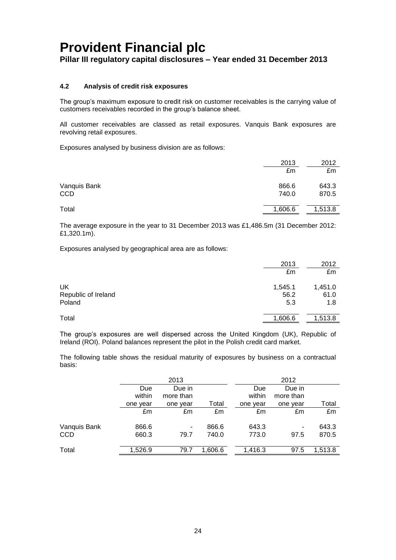**Pillar III regulatory capital disclosures – Year ended 31 December 2013**

### **4.2 Analysis of credit risk exposures**

The group's maximum exposure to credit risk on customer receivables is the carrying value of customers receivables recorded in the group's balance sheet.

All customer receivables are classed as retail exposures. Vanquis Bank exposures are revolving retail exposures.

Exposures analysed by business division are as follows:

|                     | 2013           | 2012           |
|---------------------|----------------|----------------|
|                     | £m             | £m             |
| Vanquis Bank<br>CCD | 866.6<br>740.0 | 643.3<br>870.5 |
| Total               | 1,606.6        | 1,513.8        |

The average exposure in the year to 31 December 2013 was £1,486.5m (31 December 2012: £1,320.1m).

Exposures analysed by geographical area are as follows:

|                     | 2013    | 2012    |
|---------------------|---------|---------|
|                     | £m      | £m      |
| UK                  | 1,545.1 | 1,451.0 |
| Republic of Ireland | 56.2    | 61.0    |
| Poland              | 5.3     | 1.8     |
| Total               | 1,606.6 | 1,513.8 |

The group's exposures are well dispersed across the United Kingdom (UK), Republic of Ireland (ROI). Poland balances represent the pilot in the Polish credit card market.

The following table shows the residual maturity of exposures by business on a contractual basis:

|              |          | 2013      |         |          | 2012      |         |
|--------------|----------|-----------|---------|----------|-----------|---------|
|              | Due      | Due in    |         | Due      | Due in    |         |
|              | within   | more than |         | within   | more than |         |
|              | one year | one year  | Total   | one year | one year  | Total   |
|              | £m       | £m        | £m      | £m       | £m        | £m      |
| Vanquis Bank | 866.6    | ۰         | 866.6   | 643.3    | ۰         | 643.3   |
| <b>CCD</b>   | 660.3    | 79.7      | 740.0   | 773.0    | 97.5      | 870.5   |
| Total        | 1,526.9  | 79.7      | 1,606.6 | 1,416.3  | 97.5      | 1,513.8 |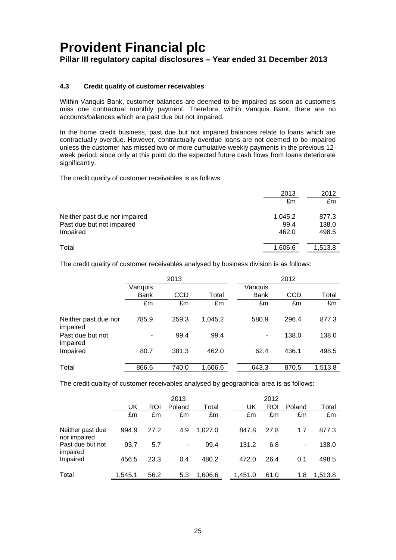**Pillar III regulatory capital disclosures – Year ended 31 December 2013**

### **4.3 Credit quality of customer receivables**

Within Vanquis Bank, customer balances are deemed to be impaired as soon as customers miss one contractual monthly payment. Therefore, within Vanquis Bank, there are no accounts/balances which are past due but not impaired.

In the home credit business, past due but not impaired balances relate to loans which are contractually overdue. However, contractually overdue loans are not deemed to be impaired unless the customer has missed two or more cumulative weekly payments in the previous 12 week period, since only at this point do the expected future cash flows from loans deteriorate significantly.

The credit quality of customer receivables is as follows:

|                               | 2013    | 2012    |
|-------------------------------|---------|---------|
|                               | £m      | £m      |
| Neither past due nor impaired | 1,045.2 | 877.3   |
| Past due but not impaired     | 99.4    | 138.0   |
| Impaired                      | 462.0   | 498.5   |
| Total                         | 1,606.6 | 1.513.8 |

The credit quality of customer receivables analysed by business division is as follows:

|                                  | 2013                     |       |         |             | 2012       |         |
|----------------------------------|--------------------------|-------|---------|-------------|------------|---------|
|                                  | Vanquis                  |       |         | Vanquis     |            |         |
|                                  | <b>Bank</b>              | CCD   | Total   | <b>Bank</b> | <b>CCD</b> | Total   |
|                                  | £m                       | £m    | £m      | £m          | £m         | £m      |
| Neither past due nor<br>impaired | 785.9                    | 259.3 | 1,045.2 | 580.9       | 296.4      | 877.3   |
| Past due but not<br>impaired     | $\overline{\phantom{a}}$ | 99.4  | 99.4    | ۰           | 138.0      | 138.0   |
| Impaired                         | 80.7                     | 381.3 | 462.0   | 62.4        | 436.1      | 498.5   |
| Total                            | 866.6                    | 740.0 | 1,606.6 | 643.3       | 870.5      | 1.513.8 |

The credit quality of customer receivables analysed by geographical area is as follows:

|                                  | 2013    |            |        |         | 2012    |      |        |         |
|----------------------------------|---------|------------|--------|---------|---------|------|--------|---------|
|                                  | UK      | <b>ROI</b> | Poland | Total   | UK      | ROI  | Poland | Total   |
|                                  | £m      | £m         | £m     | £m      | £m      | £m   | £m     | £m      |
| Neither past due<br>nor impaired | 994.9   | 27.2       | 4.9    | 1.027.0 | 847.8   | 27.8 | 1.7    | 877.3   |
| Past due but not<br>impaired     | 93.7    | 5.7        | ۰      | 99.4    | 131.2   | 6.8  | ۰      | 138.0   |
| Impaired                         | 456.5   | 23.3       | 0.4    | 480.2   | 472.0   | 26.4 | 0.1    | 498.5   |
| Total                            | 1,545.1 | 56.2       | 5.3    | 1,606.6 | 1.451.0 | 61.0 | 1.8    | 1,513.8 |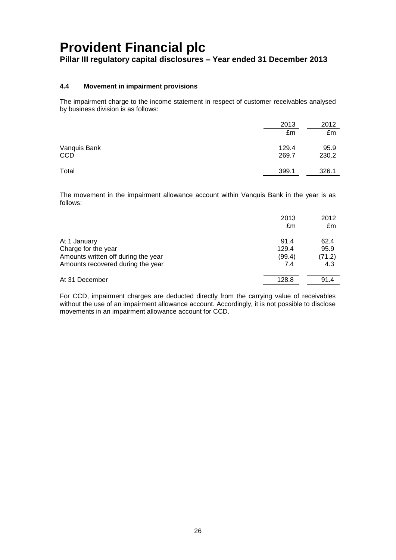### **Pillar III regulatory capital disclosures – Year ended 31 December 2013**

### **4.4 Movement in impairment provisions**

The impairment charge to the income statement in respect of customer receivables analysed by business division is as follows:

|                            | 2013           | 2012          |
|----------------------------|----------------|---------------|
|                            | £m             | £m            |
| Vanquis Bank<br><b>CCD</b> | 129.4<br>269.7 | 95.9<br>230.2 |
|                            |                |               |
| Total                      | 399.1          | 326.1         |

The movement in the impairment allowance account within Vanquis Bank in the year is as follows:

|                                                                                                                 | 2013<br>£m                     | 2012<br>£m                    |
|-----------------------------------------------------------------------------------------------------------------|--------------------------------|-------------------------------|
| At 1 January<br>Charge for the year<br>Amounts written off during the year<br>Amounts recovered during the year | 91.4<br>129.4<br>(99.4)<br>7.4 | 62.4<br>95.9<br>(71.2)<br>4.3 |
| At 31 December                                                                                                  | 128.8                          | 91.4                          |

For CCD, impairment charges are deducted directly from the carrying value of receivables without the use of an impairment allowance account. Accordingly, it is not possible to disclose movements in an impairment allowance account for CCD.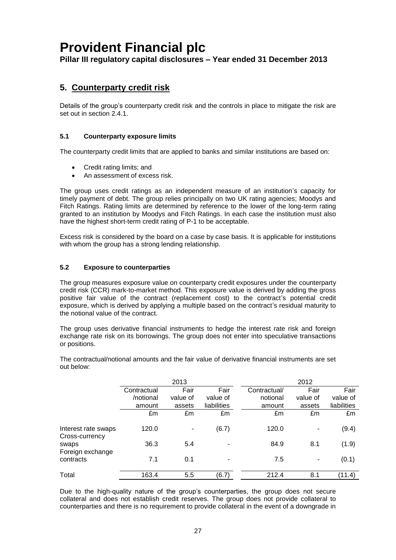**Pillar III regulatory capital disclosures – Year ended 31 December 2013**

### <span id="page-28-0"></span>**5. Counterparty credit risk**

Details of the group's counterparty credit risk and the controls in place to mitigate the risk are set out in section 2.4.1.

### **5.1 Counterparty exposure limits**

The counterparty credit limits that are applied to banks and similar institutions are based on:

- Credit rating limits; and
- An assessment of excess risk.

The group uses credit ratings as an independent measure of an institution's capacity for timely payment of debt. The group relies principally on two UK rating agencies; Moodys and Fitch Ratings. Rating limits are determined by reference to the lower of the long-term rating granted to an institution by Moodys and Fitch Ratings. In each case the institution must also have the highest short-term credit rating of P-1 to be acceptable.

Excess risk is considered by the board on a case by case basis. It is applicable for institutions with whom the group has a strong lending relationship.

### **5.2 Exposure to counterparties**

The group measures exposure value on counterparty credit exposures under the counterparty credit risk (CCR) mark-to-market method. This exposure value is derived by adding the gross positive fair value of the contract (replacement cost) to the contract's potential credit exposure, which is derived by applying a multiple based on the contract's residual maturity to the notional value of the contract.

The group uses derivative financial instruments to hedge the interest rate risk and foreign exchange rate risk on its borrowings. The group does not enter into speculative transactions or positions.

The contractual/notional amounts and the fair value of derivative financial instruments are set out below:

|                                       | 2013        |          |             | 2012         |                          |             |
|---------------------------------------|-------------|----------|-------------|--------------|--------------------------|-------------|
|                                       | Contractual | Fair     | Fair        | Contractual/ | Fair                     | Fair        |
|                                       | /notional   | value of | value of    | notional     | value of                 | value of    |
|                                       | amount      | assets   | liabilities | amount       | assets                   | liabilities |
|                                       | £m          | £m       | £m          | £m           | £m                       | £m          |
| Interest rate swaps<br>Cross-currency | 120.0       |          | (6.7)       | 120.0        | $\overline{\phantom{a}}$ | (9.4)       |
| swaps<br>Foreign exchange             | 36.3        | 5.4      |             | 84.9         | 8.1                      | (1.9)       |
| contracts                             | 7.1         | 0.1      | ۰           | 7.5          | ٠                        | (0.1)       |
| Total                                 | 163.4       | 5.5      | (6.7)       | 212.4        | 8.1                      | (11.4)      |

Due to the high-quality nature of the group's counterparties, the group does not secure collateral and does not establish credit reserves. The group does not provide collateral to counterparties and there is no requirement to provide collateral in the event of a downgrade in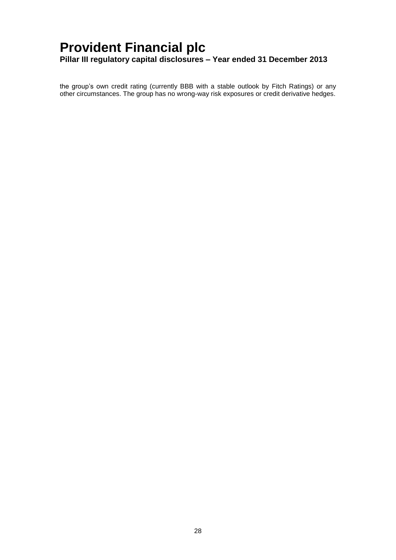the group's own credit rating (currently BBB with a stable outlook by Fitch Ratings) or any other circumstances. The group has no wrong-way risk exposures or credit derivative hedges.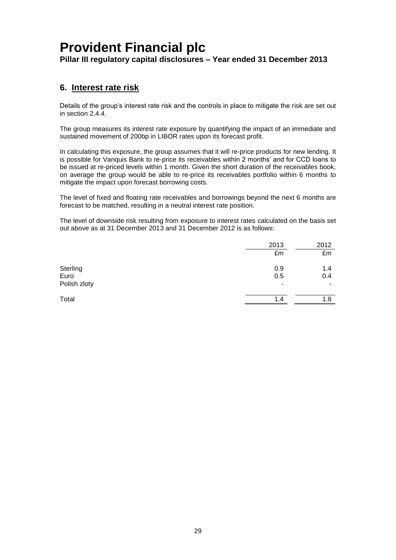**Pillar III regulatory capital disclosures – Year ended 31 December 2013**

### <span id="page-30-0"></span>**6. Interest rate risk**

Details of the group's interest rate risk and the controls in place to mitigate the risk are set out in section [2.4.4.](#page-17-0)

The group measures its interest rate exposure by quantifying the impact of an immediate and sustained movement of 200bp in LIBOR rates upon its forecast profit.

In calculating this exposure, the group assumes that it will re-price products for new lending. It is possible for Vanquis Bank to re-price its receivables within 2 months' and for CCD loans to be issued at re-priced levels within 1 month. Given the short duration of the receivables book, on average the group would be able to re-price its receivables portfolio within 6 months to mitigate the impact upon forecast borrowing costs.

The level of fixed and floating rate receivables and borrowings beyond the next 6 months are forecast to be matched, resulting in a neutral interest rate position.

The level of downside risk resulting from exposure to interest rates calculated on the basis set out above as at 31 December 2013 and 31 December 2012 is as follows:

|              | 2013                     | 2012 |
|--------------|--------------------------|------|
|              | £m                       | £m   |
| Sterling     | 0.9                      | 1.4  |
| Euro         | 0.5                      | 0.4  |
| Polish zloty | $\overline{\phantom{a}}$ | ۰    |
| Total        | 1.4                      | 1.8  |
|              |                          |      |